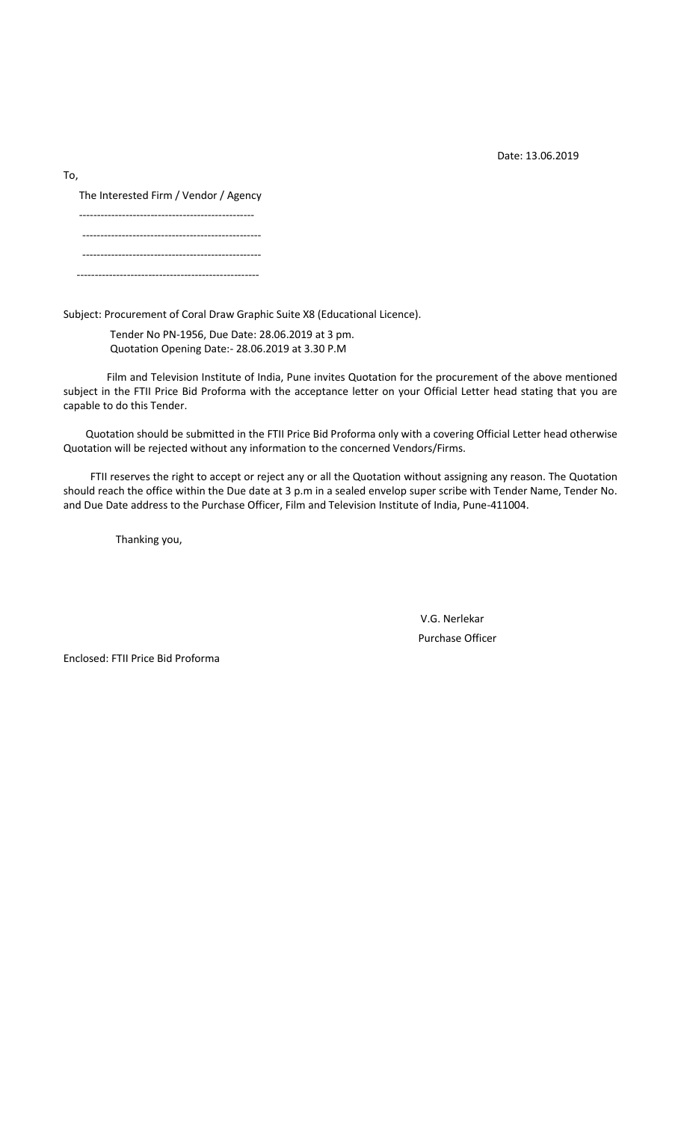Date: 13.06.2019

To,

The Interested Firm / Vendor / Agency

------------------------------------------------- -------------------------------------------------- -------------------------------------------------- ---------------------------------------------------

Subject: Procurement of Coral Draw Graphic Suite X8 (Educational Licence).

Tender No PN-1956, Due Date: 28.06.2019 at 3 pm. Quotation Opening Date:- 28.06.2019 at 3.30 P.M

Film and Television Institute of India, Pune invites Quotation for the procurement of the above mentioned subject in the FTII Price Bid Proforma with the acceptance letter on your Official Letter head stating that you are capable to do this Tender.

Quotation should be submitted in the FTII Price Bid Proforma only with a covering Official Letter head otherwise Quotation will be rejected without any information to the concerned Vendors/Firms.

FTII reserves the right to accept or reject any or all the Quotation without assigning any reason. The Quotation should reach the office within the Due date at 3 p.m in a sealed envelop super scribe with Tender Name, Tender No. and Due Date address to the Purchase Officer, Film and Television Institute of India, Pune-411004.

Thanking you,

V.G. Nerlekar Purchase Officer

Enclosed: FTII Price Bid Proforma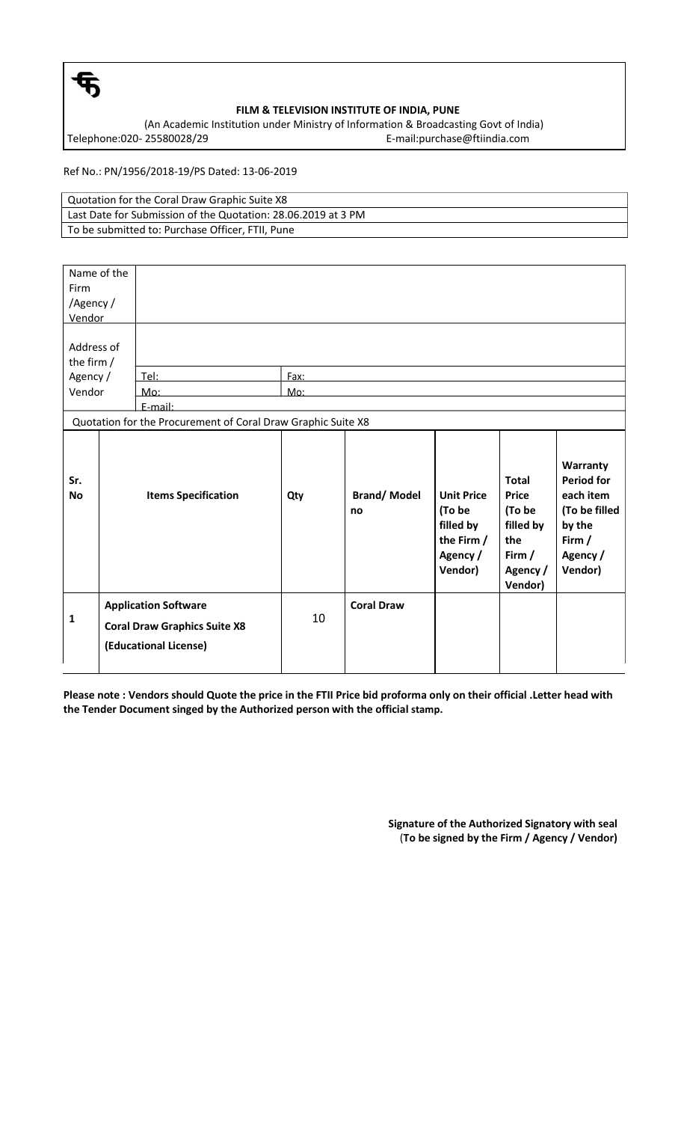

## **FILM & TELEVISION INSTITUTE OF INDIA, PUNE**

(An Academic Institution under Ministry of Information & Broadcasting Govt of India) Telephone:020-25580028/29 E-mail:purchase@ftiindia.com

Ref No.: PN/1956/2018-19/PS Dated: 13-06-2019

Quotation for the Coral Draw Graphic Suite X8 Last Date for Submission of the Quotation: 28.06.2019 at 3 PM To be submitted to: Purchase Officer, FTII, Pune

| Name of the<br>Firm<br>/Agency/<br>Vendor<br>Address of<br>the firm / |                                                                                             |      |                          |                                                                               |                                                                                               |                                                                                                          |
|-----------------------------------------------------------------------|---------------------------------------------------------------------------------------------|------|--------------------------|-------------------------------------------------------------------------------|-----------------------------------------------------------------------------------------------|----------------------------------------------------------------------------------------------------------|
| Agency /                                                              | Tel:                                                                                        | Fax: |                          |                                                                               |                                                                                               |                                                                                                          |
| Vendor                                                                | $M$ o:                                                                                      | Mo:  |                          |                                                                               |                                                                                               |                                                                                                          |
|                                                                       | E-mail:                                                                                     |      |                          |                                                                               |                                                                                               |                                                                                                          |
|                                                                       | Quotation for the Procurement of Coral Draw Graphic Suite X8                                |      |                          |                                                                               |                                                                                               |                                                                                                          |
| Sr.<br><b>No</b>                                                      | <b>Items Specification</b>                                                                  | Qty  | <b>Brand/Model</b><br>no | <b>Unit Price</b><br>(To be<br>filled by<br>the Firm /<br>Agency /<br>Vendor) | <b>Total</b><br><b>Price</b><br>(To be<br>filled by<br>the<br>Firm $/$<br>Agency /<br>Vendor) | Warranty<br><b>Period for</b><br>each item<br>(To be filled<br>by the<br>Firm $/$<br>Agency /<br>Vendor) |
| $\mathbf 1$                                                           | <b>Application Software</b><br><b>Coral Draw Graphics Suite X8</b><br>(Educational License) | 10   | <b>Coral Draw</b>        |                                                                               |                                                                                               |                                                                                                          |

**Please note : Vendors should Quote the price in the FTII Price bid proforma only on their official .Letter head with the Tender Document singed by the Authorized person with the official stamp.**

> **Signature of the Authorized Signatory with seal** (**To be signed by the Firm / Agency / Vendor)**